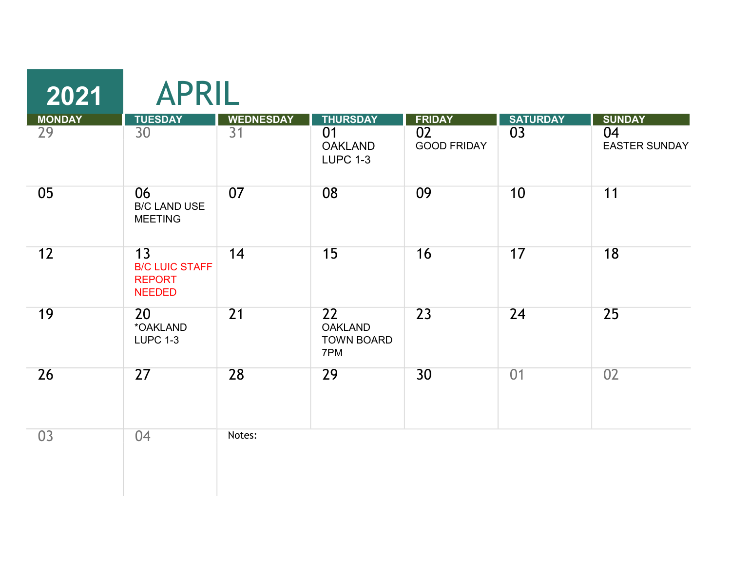| 2021                | <b>APRIL</b>                                                  |                                     |                                                            |                                           |                       |                                             |
|---------------------|---------------------------------------------------------------|-------------------------------------|------------------------------------------------------------|-------------------------------------------|-----------------------|---------------------------------------------|
| <b>MONDAY</b><br>29 | <b>TUESDAY</b><br>30                                          | <b>WEDNESDAY</b><br>$\overline{31}$ | <b>THURSDAY</b><br>01<br><b>OAKLAND</b><br><b>LUPC 1-3</b> | <b>FRIDAY</b><br>02<br><b>GOOD FRIDAY</b> | <b>SATURDAY</b><br>03 | <b>SUNDAY</b><br>04<br><b>EASTER SUNDAY</b> |
| 05                  | 06<br><b>B/C LAND USE</b><br><b>MEETING</b>                   | 07                                  | 08                                                         | 09                                        | 10                    | 11                                          |
| 12                  | 13<br><b>B/C LUIC STAFF</b><br><b>REPORT</b><br><b>NEEDED</b> | 14                                  | 15                                                         | 16                                        | 17                    | 18                                          |
| 19                  | 20<br>*OAKLAND<br><b>LUPC 1-3</b>                             | $\overline{21}$                     | 22<br><b>OAKLAND</b><br><b>TOWN BOARD</b><br>7PM           | $\overline{23}$                           | 24                    | 25                                          |
| 26                  | 27                                                            | 28                                  | 29                                                         | 30                                        | 01                    | 02                                          |
| 03                  | 04                                                            | Notes:                              |                                                            |                                           |                       |                                             |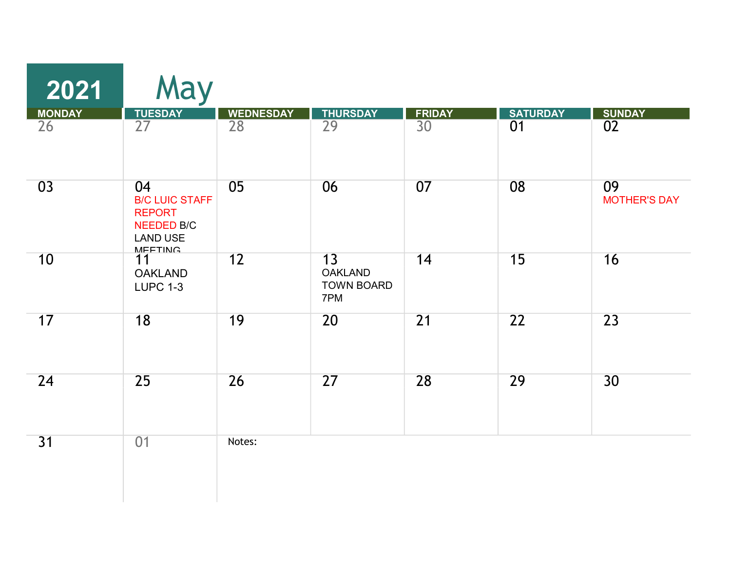| 2021                | May                                                                                                    |                        |                                                  |                     |                       |                                  |
|---------------------|--------------------------------------------------------------------------------------------------------|------------------------|--------------------------------------------------|---------------------|-----------------------|----------------------------------|
| <b>MONDAY</b><br>26 | <b>TUESDAY</b><br>27                                                                                   | <b>WEDNESDAY</b><br>28 | <b>THURSDAY</b><br>29                            | <b>FRIDAY</b><br>30 | <b>SATURDAY</b><br>01 | <b>SUNDAY</b><br>$\overline{02}$ |
| 03                  | 04<br><b>B/C LUIC STAFF</b><br><b>REPORT</b><br><b>NEEDED B/C</b><br><b>LAND USE</b><br><b>MEETING</b> | 05                     | 06                                               | 07                  | 08                    | 09<br><b>MOTHER'S DAY</b>        |
| 10                  | 11<br><b>OAKLAND</b><br><b>LUPC 1-3</b>                                                                | 12                     | 13<br><b>OAKLAND</b><br><b>TOWN BOARD</b><br>7PM | 14                  | 15                    | 16                               |
| 17                  | 18                                                                                                     | 19                     | 20                                               | 21                  | $\overline{22}$       | $\overline{23}$                  |
| 24                  | 25                                                                                                     | 26                     | 27                                               | 28                  | 29                    | 30 <sup>°</sup>                  |
| 31                  | 01                                                                                                     | Notes:                 |                                                  |                     |                       |                                  |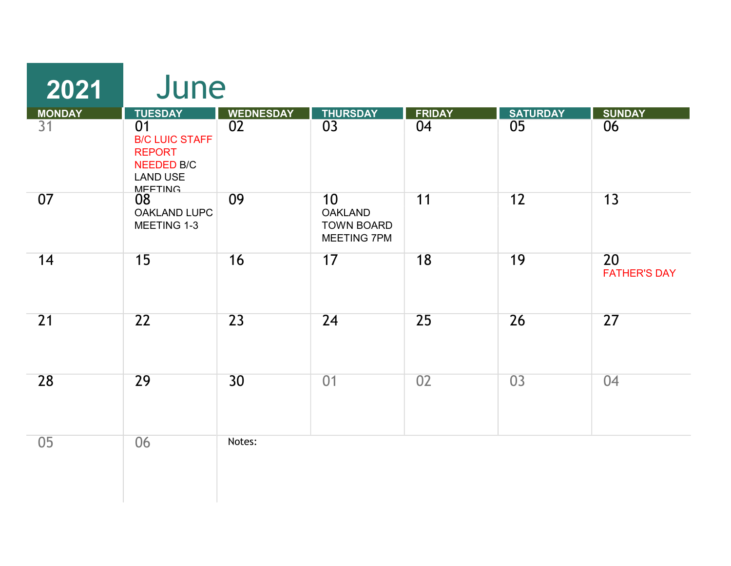| 2021                | June                                                                                                                     |                        |                                                          |                     |                       |                           |
|---------------------|--------------------------------------------------------------------------------------------------------------------------|------------------------|----------------------------------------------------------|---------------------|-----------------------|---------------------------|
| <b>MONDAY</b><br>31 | <b>TUESDAY</b><br>01<br><b>B/C LUIC STAFF</b><br><b>REPORT</b><br><b>NEEDED B/C</b><br><b>LAND USE</b><br><b>MEETING</b> | <b>WEDNESDAY</b><br>02 | <b>THURSDAY</b><br>03                                    | <b>FRIDAY</b><br>04 | <b>SATURDAY</b><br>05 | <b>SUNDAY</b><br>06       |
| 07                  | 08<br><b>OAKLAND LUPC</b><br>MEETING 1-3                                                                                 | 09                     | 10<br><b>OAKLAND</b><br><b>TOWN BOARD</b><br>MEETING 7PM | 11                  | 12                    | 13                        |
| 14                  | 15                                                                                                                       | 16                     | 17                                                       | 18                  | 19                    | 20<br><b>FATHER'S DAY</b> |
| 21                  | $\overline{22}$                                                                                                          | 23                     | 24                                                       | 25                  | 26                    | 27                        |
| 28                  | 29                                                                                                                       | 30                     | 01                                                       | 02                  | 03                    | 04                        |
| 05                  | 06                                                                                                                       | Notes:                 |                                                          |                     |                       |                           |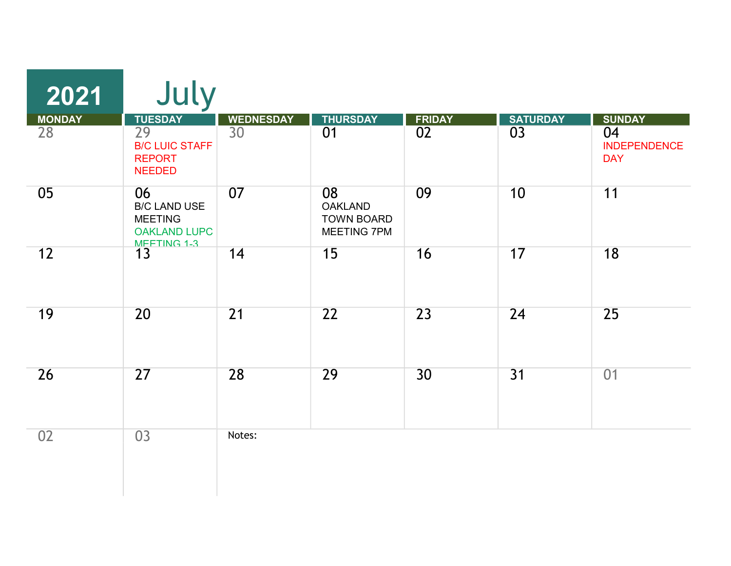| 2021                | July                                                                              |                                     |                                                          |                     |                       |                                                          |
|---------------------|-----------------------------------------------------------------------------------|-------------------------------------|----------------------------------------------------------|---------------------|-----------------------|----------------------------------------------------------|
| <b>MONDAY</b><br>28 | <b>TUESDAY</b><br>29<br><b>B/C LUIC STAFF</b><br><b>REPORT</b><br><b>NEEDED</b>   | <b>WEDNESDAY</b><br>30 <sup>°</sup> | <b>THURSDAY</b><br>01                                    | <b>FRIDAY</b><br>02 | <b>SATURDAY</b><br>03 | <b>SUNDAY</b><br>04<br><b>INDEPENDENCE</b><br><b>DAY</b> |
| 05                  | 06<br><b>B/C LAND USE</b><br><b>MEETING</b><br><b>OAKLAND LUPC</b><br>MEFTING 1-3 | 07                                  | 08<br><b>OAKLAND</b><br><b>TOWN BOARD</b><br>MEETING 7PM | 09                  | 10                    | 11                                                       |
| 12                  | 13                                                                                | 14                                  | 15                                                       | 16                  | 17                    | 18                                                       |
| 19                  | 20                                                                                | $\overline{21}$                     | 22                                                       | 23                  | 24                    | 25                                                       |
| 26                  | 27                                                                                | 28                                  | 29                                                       | 30                  | 31                    | 01                                                       |
| 02                  | 03                                                                                | Notes:                              |                                                          |                     |                       |                                                          |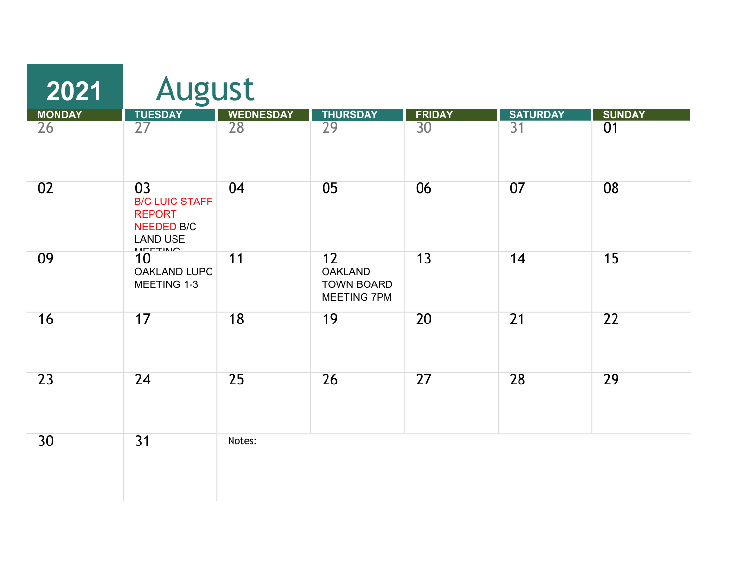| 2021          |                                                                                                        | <b>August</b>    |                                                          |                 |                 |                 |  |  |
|---------------|--------------------------------------------------------------------------------------------------------|------------------|----------------------------------------------------------|-----------------|-----------------|-----------------|--|--|
| <b>MONDAY</b> | <b>TUESDAY</b>                                                                                         | <b>WEDNESDAY</b> | <b>THURSDAY</b>                                          | <b>FRIDAY</b>   | <b>SATURDAY</b> | <b>SUNDAY</b>   |  |  |
| 26            | $\overline{27}$                                                                                        | 28               | $\overline{29}$                                          | $\overline{30}$ | 31              | 01              |  |  |
| 02            | 03<br><b>B/C LUIC STAFF</b><br><b>REPORT</b><br><b>NEEDED B/C</b><br><b>LAND USE</b><br><b>MEETING</b> | 04               | 05                                                       | 06              | 07              | 08              |  |  |
| 09            | 10<br><b>OAKLAND LUPC</b><br>MEETING 1-3                                                               | 11               | 12<br><b>OAKLAND</b><br><b>TOWN BOARD</b><br>MEETING 7PM | 13              | 14              | 15              |  |  |
| 16            | 17                                                                                                     | 18               | 19                                                       | 20              | $\overline{21}$ | $\overline{22}$ |  |  |
| 23            | 24                                                                                                     | 25               | 26                                                       | 27              | 28              | 29              |  |  |
| 30            | $\overline{31}$                                                                                        | Notes:           |                                                          |                 |                 |                 |  |  |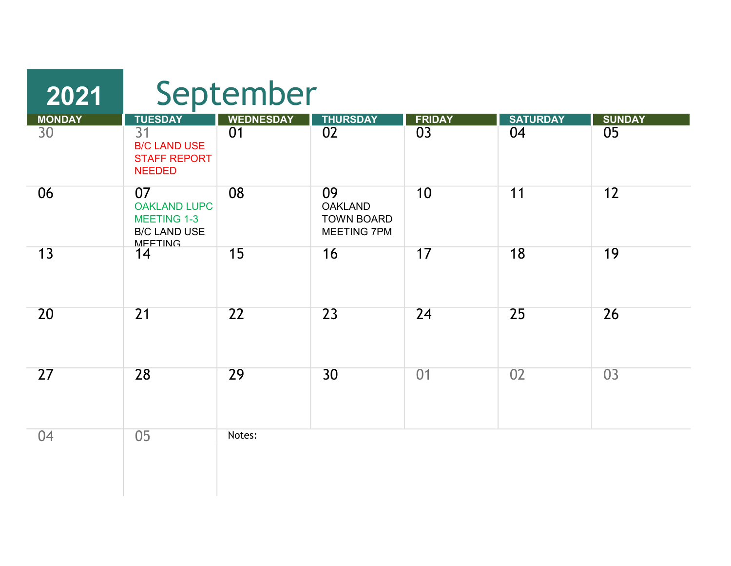| 2021            | September                                                                                |                  |                                                                 |                 |                 |                 |  |
|-----------------|------------------------------------------------------------------------------------------|------------------|-----------------------------------------------------------------|-----------------|-----------------|-----------------|--|
| <b>MONDAY</b>   | <b>TUESDAY</b>                                                                           | <b>WEDNESDAY</b> | <b>THURSDAY</b>                                                 | <b>FRIDAY</b>   | <b>SATURDAY</b> | <b>SUNDAY</b>   |  |
| $\overline{30}$ | $\overline{31}$<br><b>B/C LAND USE</b><br><b>STAFF REPORT</b><br><b>NEEDED</b>           | 01               | $\overline{02}$                                                 | $\overline{03}$ | 04              | $\overline{05}$ |  |
| 06              | 07<br><b>OAKLAND LUPC</b><br><b>MEETING 1-3</b><br><b>B/C LAND USE</b><br><b>MFFTING</b> | 08               | 09<br><b>OAKLAND</b><br><b>TOWN BOARD</b><br><b>MEETING 7PM</b> | 10              | 11              | 12              |  |
| 13              | 14                                                                                       | 15               | 16                                                              | 17              | 18              | 19              |  |
| 20              | $\overline{21}$                                                                          | $\overline{22}$  | $\overline{23}$                                                 | 24              | 25              | 26              |  |
| 27              | 28                                                                                       | 29               | 30                                                              | 01              | 02              | 03              |  |
| 04              | 05                                                                                       | Notes:           |                                                                 |                 |                 |                 |  |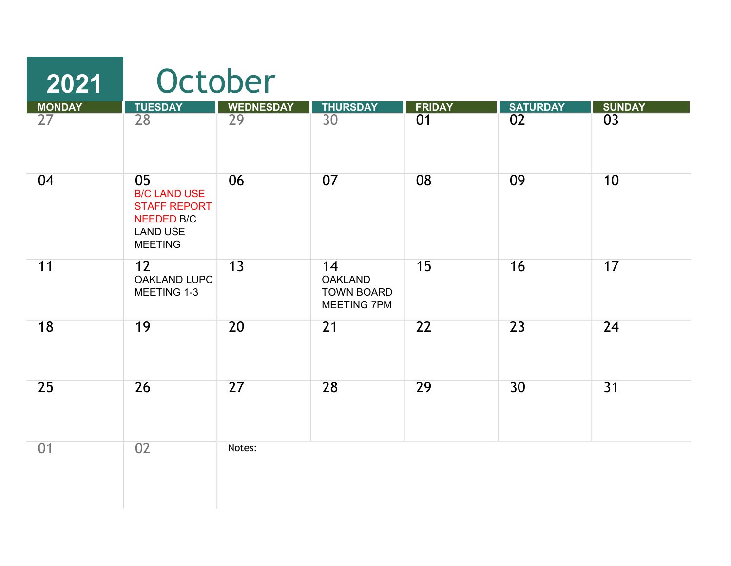| 2021          | October                                                                                                    |                  |                                                          |               |                 |                 |  |
|---------------|------------------------------------------------------------------------------------------------------------|------------------|----------------------------------------------------------|---------------|-----------------|-----------------|--|
| <b>MONDAY</b> | <b>TUESDAY</b>                                                                                             | <b>WEDNESDAY</b> | <b>THURSDAY</b>                                          | <b>FRIDAY</b> | <b>SATURDAY</b> | <b>SUNDAY</b>   |  |
| 27            | 28                                                                                                         | 29               | 30                                                       | 01            | 02              | 03              |  |
| 04            | 05<br><b>B/C LAND USE</b><br><b>STAFF REPORT</b><br><b>NEEDED B/C</b><br><b>LAND USE</b><br><b>MEETING</b> | 06               | 07                                                       | 08            | 09              | 10              |  |
| 11            | 12<br>OAKLAND LUPC<br>MEETING 1-3                                                                          | 13               | 14<br><b>OAKLAND</b><br><b>TOWN BOARD</b><br>MEETING 7PM | 15            | 16              | 17              |  |
| 18            | 19                                                                                                         | 20               | 21                                                       | 22            | 23              | 24              |  |
| 25            | 26                                                                                                         | 27               | 28                                                       | 29            | 30              | $\overline{31}$ |  |
| 01            | 02                                                                                                         | Notes:           |                                                          |               |                 |                 |  |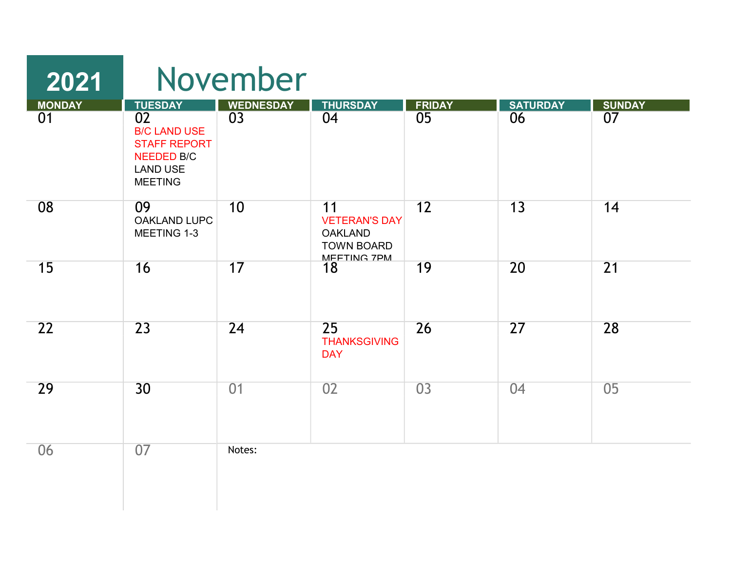| 2021                |                                                                                                                              | November                            |                                                                                  |                                  |                       |                                  |
|---------------------|------------------------------------------------------------------------------------------------------------------------------|-------------------------------------|----------------------------------------------------------------------------------|----------------------------------|-----------------------|----------------------------------|
| <b>MONDAY</b><br>01 | <b>TUESDAY</b><br>02<br><b>B/C LAND USE</b><br><b>STAFF REPORT</b><br><b>NEEDED B/C</b><br><b>LAND USE</b><br><b>MEETING</b> | <b>WEDNESDAY</b><br>$\overline{03}$ | <b>THURSDAY</b><br>04                                                            | <b>FRIDAY</b><br>$\overline{05}$ | <b>SATURDAY</b><br>06 | <b>SUNDAY</b><br>$\overline{07}$ |
| 08                  | 09<br><b>OAKLAND LUPC</b><br>MEETING 1-3                                                                                     | 10                                  | 11<br><b>VETERAN'S DAY</b><br><b>OAKLAND</b><br><b>TOWN BOARD</b><br>MFFTING 7PM | 12                               | 13                    | 14                               |
| 15                  | 16                                                                                                                           | 17                                  | 18                                                                               | 19                               | 20                    | 21                               |
| 22                  | $\overline{23}$                                                                                                              | 24                                  | $\overline{25}$<br><b>THANKSGIVING</b><br><b>DAY</b>                             | 26                               | 27                    | 28                               |
| 29                  | 30                                                                                                                           | 01                                  | 02                                                                               | 03                               | 04                    | 05                               |
| 06                  | 07                                                                                                                           | Notes:                              |                                                                                  |                                  |                       |                                  |